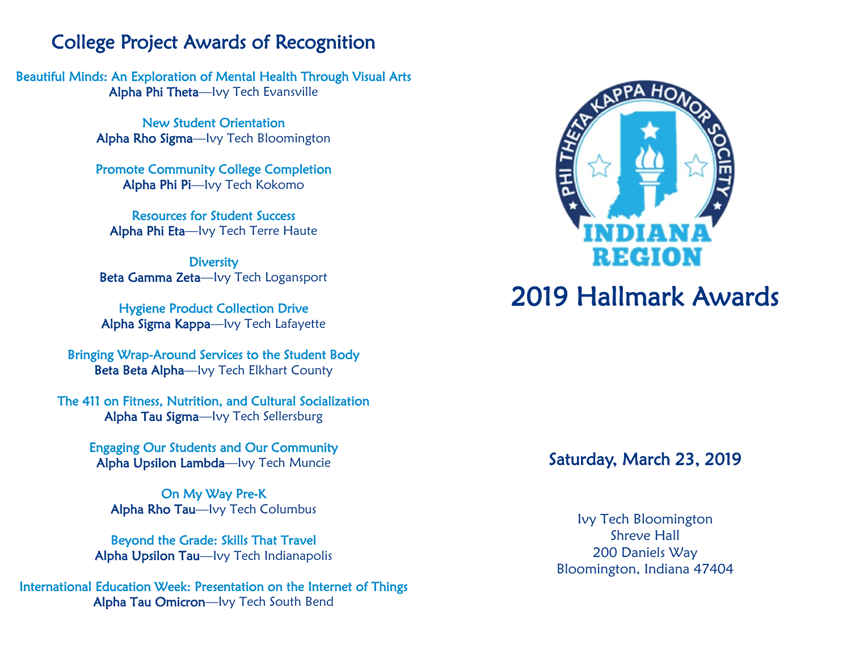### College Project Awards of Recognition

Beautiful Minds: An Exploration of Mental Health Through Visual Arts Alpha Phi Theta—Ivy Tech Evansville

> New Student Orientation Alpha Rho Sigma—Ivy Tech Bloomington

> Promote Community College Completion Alpha Phi Pi—Ivy Tech Kokomo

Resources for Student Success Alpha Phi Eta—Ivy Tech Terre Haute

**Diversity** Beta Gamma Zeta—Ivy Tech Logansport

Hygiene Product Collection Drive Alpha Sigma Kappa—Ivy Tech Lafayette

Bringing Wrap-Around Services to the Student Body Beta Beta Alpha—Ivy Tech Elkhart County

The 411 on Fitness, Nutrition, and Cultural Socialization Alpha Tau Sigma—Ivy Tech Sellersburg

> Engaging Our Students and Our Community Alpha Upsilon Lambda—Ivy Tech Muncie

On My Way Pre-K Alpha Rho Tau—Ivy Tech Columbus

Beyond the Grade: Skills That Travel Alpha Upsilon Tau—Ivy Tech Indianapolis

International Education Week: Presentation on the Internet of Things Alpha Tau Omicron—Ivy Tech South Bend



# 2019 Hallmark Awards

#### Saturday, March 23, 2019

Ivy Tech Bloomington Shreve Hall 200 Daniels Way Bloomington, Indiana 47404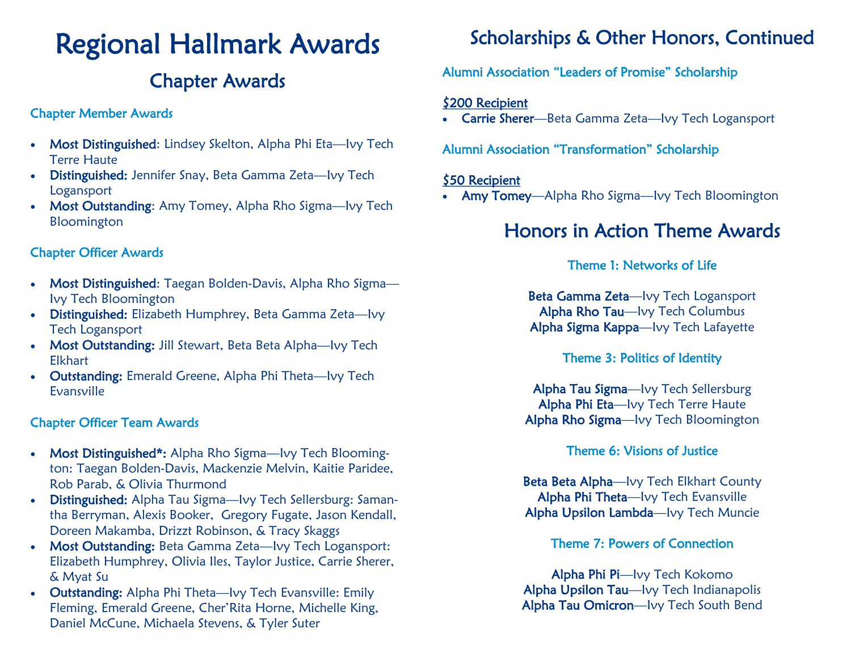# Regional Hallmark Awards

# Chapter Awards

#### Chapter Member Awards

- Most Distinguished: Lindsey Skelton, Alpha Phi Eta-lvy Tech Terre Haute
- Distinguished: Jennifer Snay, Beta Gamma Zeta—Ivy Tech Logansport
- Most Outstanding: Amy Tomey, Alpha Rho Sigma-lvy Tech Bloomington

#### Chapter Officer Awards

- Most Distinguished: Taegan Bolden-Davis, Alpha Rho Sigma-Ivy Tech Bloomington
- Distinguished: Elizabeth Humphrey, Beta Gamma Zeta—Ivy Tech Logansport
- Most Outstanding: Jill Stewart, Beta Beta Alpha-lvy Tech Elkhart
- Outstanding: Emerald Greene, Alpha Phi Theta—Ivy Tech Evansville

#### Chapter Officer Team Awards

- Most Distinguished\*: Alpha Rho Sigma—Ivy Tech Bloomington: Taegan Bolden-Davis, Mackenzie Melvin, Kaitie Paridee, Rob Parab, & Olivia Thurmond
- **Distinguished:** Alpha Tau Sigma-lvy Tech Sellersburg: Samantha Berryman, Alexis Booker, Gregory Fugate, Jason Kendall, Doreen Makamba, Drizzt Robinson, & Tracy Skaggs
- Most Outstanding: Beta Gamma Zeta-Ivy Tech Logansport: Elizabeth Humphrey, Olivia Iles, Taylor Justice, Carrie Sherer, & Myat Su
- Outstanding: Alpha Phi Theta-lvy Tech Evansville: Emily Fleming, Emerald Greene, Cher'Rita Horne, Michelle King, Daniel McCune, Michaela Stevens, & Tyler Suter

# Scholarships & Other Honors, Continued

#### Alumni Association "Leaders of Promise" Scholarship

#### \$200 Recipient

• Carrie Sherer—Beta Gamma Zeta—Ivy Tech Logansport

#### Alumni Association "Transformation" Scholarship

#### \$50 Recipient

• Amy Tomey—Alpha Rho Sigma—Ivy Tech Bloomington

## Honors in Action Theme Awards

#### Theme 1: Networks of Life

Beta Gamma Zeta—Ivy Tech Logansport Alpha Rho Tau—Ivy Tech Columbus Alpha Sigma Kappa—Ivy Tech Lafayette

#### Theme 3: Politics of Identity

Alpha Tau Sigma—Ivy Tech Sellersburg Alpha Phi Eta—Ivy Tech Terre Haute Alpha Rho Sigma—Ivy Tech Bloomington

#### Theme 6: Visions of Justice

Beta Beta Alpha—Ivy Tech Elkhart County Alpha Phi Theta—Ivy Tech Evansville Alpha Upsilon Lambda—Ivy Tech Muncie

#### Theme 7: Powers of Connection

Alpha Phi Pi—Ivy Tech Kokomo Alpha Upsilon Tau—Ivy Tech Indianapolis Alpha Tau Omicron—Ivy Tech South Bend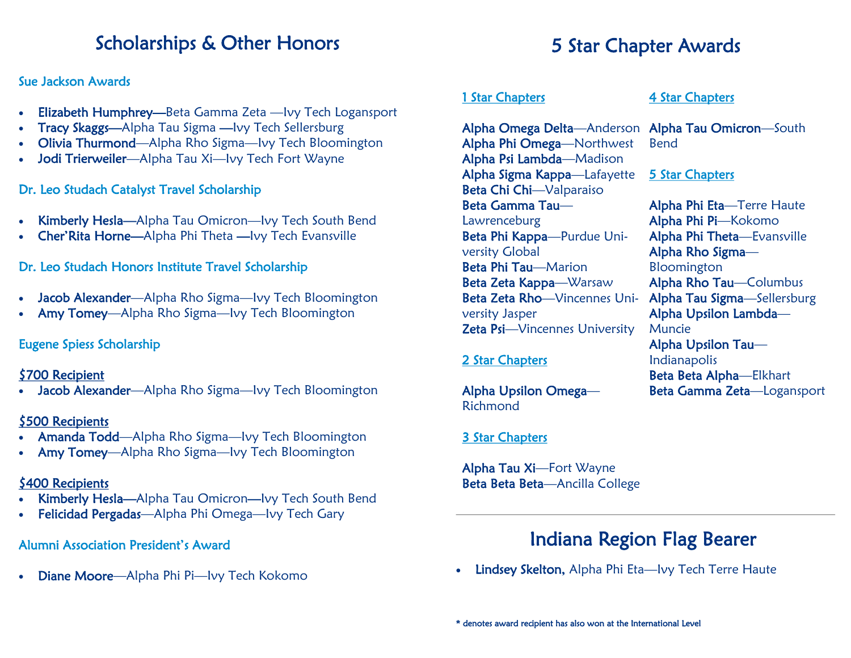### Scholarships & Other Honors

#### Sue Jackson Awards

- Elizabeth Humphrey—Beta Gamma Zeta —Ivy Tech Logansport
- Tracy Skaggs—Alpha Tau Sigma —Ivy Tech Sellersburg
- Olivia Thurmond—Alpha Rho Sigma—Ivy Tech Bloomington
- Jodi Trierweiler—Alpha Tau Xi—Ivy Tech Fort Wayne

#### Dr. Leo Studach Catalyst Travel Scholarship

- Kimberly Hesla—Alpha Tau Omicron—Ivy Tech South Bend
- Cher'Rita Horne—Alpha Phi Theta —Ivy Tech Evansville

#### Dr. Leo Studach Honors Institute Travel Scholarship

- Jacob Alexander—Alpha Rho Sigma—Ivy Tech Bloomington
- Amy Tomey—Alpha Rho Sigma—Ivy Tech Bloomington

#### Eugene Spiess Scholarship

#### \$700 Recipient

Jacob Alexander—Alpha Rho Sigma—Ivy Tech Bloomington

#### \$500 Recipients

- Amanda Todd—Alpha Rho Sigma—Ivy Tech Bloomington
- Amy Tomey—Alpha Rho Sigma—Ivy Tech Bloomington

#### \$400 Recipients

- Kimberly Hesla—Alpha Tau Omicron—Ivy Tech South Bend
- Felicidad Pergadas—Alpha Phi Omega—Ivy Tech Gary

#### Alumni Association President's Award

• Diane Moore—Alpha Phi Pi—Ivy Tech Kokomo

# 5 Star Chapter Awards

#### 1 Star Chapters

Alpha Omega Delta—Anderson Alpha Tau Omicron—South Alpha Phi Omega—Northwest Alpha Psi Lambda—Madison Alpha Sigma Kappa—Lafayette Beta Chi Chi—Valparaiso Beta Gamma Tau— Lawrenceburg Beta Phi Kappa—Purdue University Global Beta Phi Tau—Marion Beta Zeta Kappa—Warsaw Beta Zeta Rho—Vincennes Uni- Alpha Tau Sigma—Sellersburg versity Jasper Zeta Psi—Vincennes University

#### 2 Star Chapters

Alpha Upsilon Omega— Richmond

#### 3 Star Chapters

Alpha Tau Xi—Fort Wayne Beta Beta Beta-Ancilla College

#### 4 Star Chapters

Bend

#### 5 Star Chapters

Alpha Phi Eta—Terre Haute Alpha Phi Pi—Kokomo Alpha Phi Theta—Evansville Alpha Rho Sigma— Bloomington Alpha Rho Tau—Columbus Alpha Upsilon Lambda— Muncie Alpha Upsilon Tau— Indianapolis Beta Beta Alpha—Elkhart Beta Gamma Zeta—Logansport

J.

## Indiana Region Flag Bearer

Lindsey Skelton, Alpha Phi Eta-Ivy Tech Terre Haute